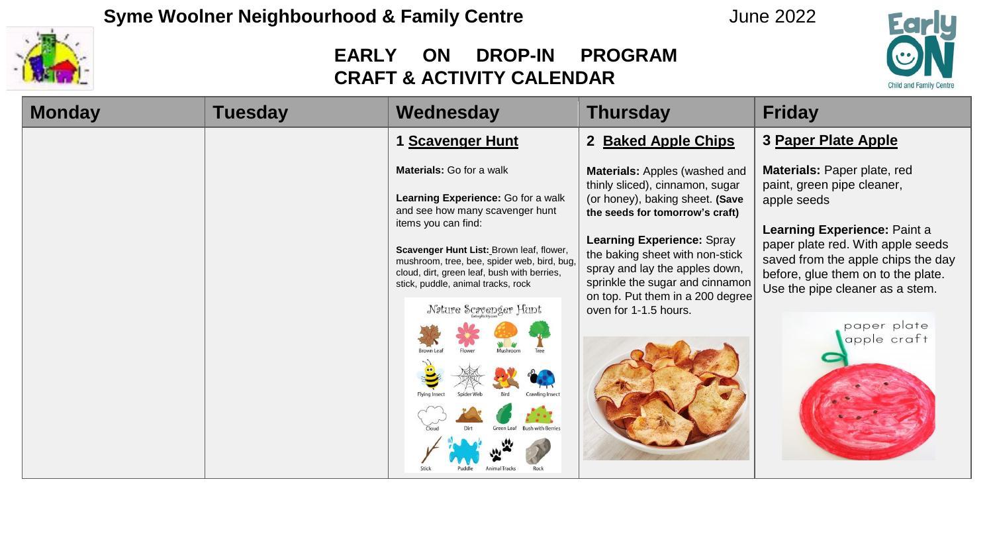

| <b>Monday</b> | <b>Tuesday</b> | Wednesday                                                                                                                                                                                                                                                                                                       | <b>Thursday</b>                                                                                                                                                                                                                                                                     | <b>Friday</b>                                                                                                                                                                                                             |
|---------------|----------------|-----------------------------------------------------------------------------------------------------------------------------------------------------------------------------------------------------------------------------------------------------------------------------------------------------------------|-------------------------------------------------------------------------------------------------------------------------------------------------------------------------------------------------------------------------------------------------------------------------------------|---------------------------------------------------------------------------------------------------------------------------------------------------------------------------------------------------------------------------|
|               |                | 1 Scavenger Hunt                                                                                                                                                                                                                                                                                                | <b>Baked Apple Chips</b><br>$\mathbf{2}$                                                                                                                                                                                                                                            | 3 Paper Plate Apple                                                                                                                                                                                                       |
|               |                | <b>Materials:</b> Go for a walk<br>Learning Experience: Go for a walk<br>and see how many scavenger hunt<br>items you can find:<br>Scavenger Hunt List: Brown leaf, flower,<br>mushroom, tree, bee, spider web, bird, bug,<br>cloud, dirt, green leaf, bush with berries,<br>stick, puddle, animal tracks, rock | Materials: Apples (washed and<br>thinly sliced), cinnamon, sugar<br>(or honey), baking sheet. (Save<br>the seeds for tomorrow's craft)<br><b>Learning Experience: Spray</b><br>the baking sheet with non-stick<br>spray and lay the apples down,<br>sprinkle the sugar and cinnamon | Materials: Paper plate, red<br>paint, green pipe cleaner,<br>apple seeds<br>Learning Experience: Paint a<br>paper plate red. With apple seeds<br>saved from the apple chips the day<br>before, glue them on to the plate. |
|               |                | Nature Scavenger Hunt                                                                                                                                                                                                                                                                                           | on top. Put them in a 200 degree<br>oven for 1-1.5 hours.                                                                                                                                                                                                                           | Use the pipe cleaner as a stem.<br>paper plate<br>apple craft                                                                                                                                                             |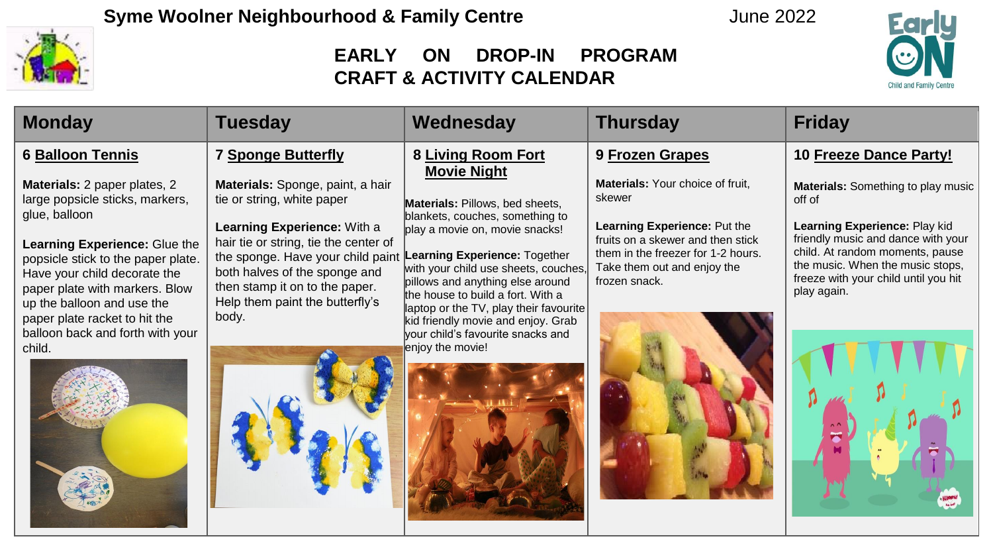



| <b>Monday</b>                                                                                                                                                                                                                                           | <b>Tuesday</b>                                                                                                                                                                                                                                                                                                         | Wednesday                                                                                                                                                                                                                                                              | <b>Thursday</b>                                                                                                                                                                                       | <b>Friday</b>                                                                                                                                                                                                                                     |
|---------------------------------------------------------------------------------------------------------------------------------------------------------------------------------------------------------------------------------------------------------|------------------------------------------------------------------------------------------------------------------------------------------------------------------------------------------------------------------------------------------------------------------------------------------------------------------------|------------------------------------------------------------------------------------------------------------------------------------------------------------------------------------------------------------------------------------------------------------------------|-------------------------------------------------------------------------------------------------------------------------------------------------------------------------------------------------------|---------------------------------------------------------------------------------------------------------------------------------------------------------------------------------------------------------------------------------------------------|
| 6 Balloon Tennis                                                                                                                                                                                                                                        | <b>7 Sponge Butterfly</b>                                                                                                                                                                                                                                                                                              | 8 Living Room Fort<br><b>Movie Night</b>                                                                                                                                                                                                                               | 9 Frozen Grapes                                                                                                                                                                                       | 10 Freeze Dance Party!                                                                                                                                                                                                                            |
| Materials: 2 paper plates, 2<br>large popsicle sticks, markers,<br>glue, balloon<br>Learning Experience: Glue the<br>popsicle stick to the paper plate.<br>Have your child decorate the<br>paper plate with markers. Blow<br>up the balloon and use the | Materials: Sponge, paint, a hair<br>tie or string, white paper<br><b>Learning Experience: With a</b><br>hair tie or string, tie the center of<br>the sponge. Have your child paint Learning Experience: Together<br>both halves of the sponge and<br>then stamp it on to the paper.<br>Help them paint the butterfly's | <b>Materials: Pillows, bed sheets,</b><br>blankets, couches, something to<br>play a movie on, movie snacks!<br>with your child use sheets, couches,<br>pillows and anything else around<br>the house to build a fort. With a<br>laptop or the TV, play their favourite | Materials: Your choice of fruit,<br>skewer<br>Learning Experience: Put the<br>fruits on a skewer and then stick<br>them in the freezer for 1-2 hours.<br>Take them out and enjoy the<br>frozen snack. | Materials: Something to play music<br>off of<br>Learning Experience: Play kid<br>friendly music and dance with your<br>child. At random moments, pause<br>the music. When the music stops,<br>freeze with your child until you hit<br>play again. |
| paper plate racket to hit the<br>balloon back and forth with your<br>child.                                                                                                                                                                             | body.                                                                                                                                                                                                                                                                                                                  | kid friendly movie and enjoy. Grab<br>vour child's favourite snacks and<br>enjoy the movie!                                                                                                                                                                            |                                                                                                                                                                                                       |                                                                                                                                                                                                                                                   |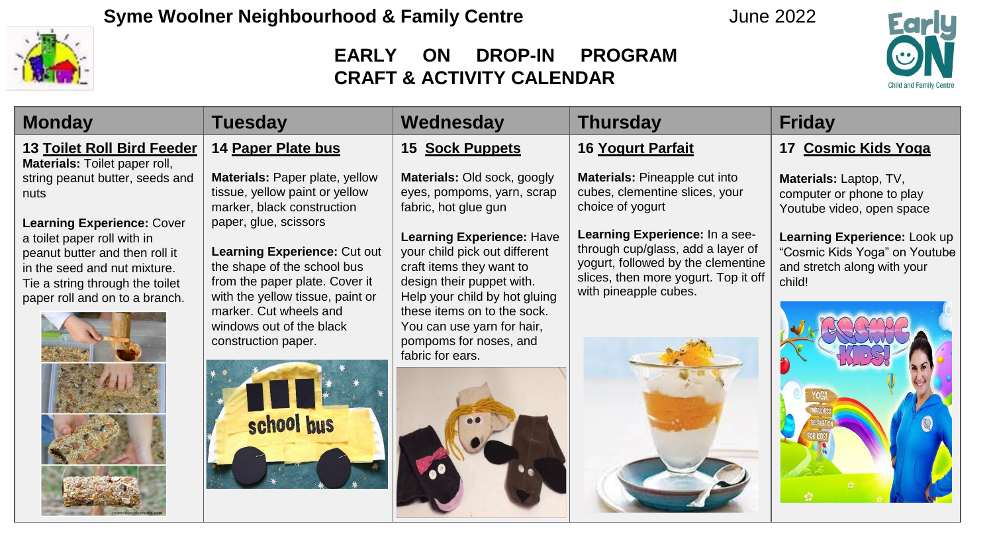

| <b>Monday</b>                                                                                                                                                                                           | <b>Tuesday</b>                                                                                                                                                    | Wednesday                                                                                                                                                   | <b>Thursday</b>                                                                                                                                                            | <b>Friday</b>                                                                                          |
|---------------------------------------------------------------------------------------------------------------------------------------------------------------------------------------------------------|-------------------------------------------------------------------------------------------------------------------------------------------------------------------|-------------------------------------------------------------------------------------------------------------------------------------------------------------|----------------------------------------------------------------------------------------------------------------------------------------------------------------------------|--------------------------------------------------------------------------------------------------------|
| <b>13 Toilet Roll Bird Feeder</b><br><b>Materials:</b> Toilet paper roll,                                                                                                                               | 14 Paper Plate bus                                                                                                                                                | 15 Sock Puppets                                                                                                                                             | 16 Yogurt Parfait                                                                                                                                                          | 17 Cosmic Kids Yoga                                                                                    |
| string peanut butter, seeds and<br>nuts                                                                                                                                                                 | Materials: Paper plate, yellow<br>tissue, yellow paint or yellow<br>marker, black construction                                                                    | Materials: Old sock, googly<br>eyes, pompoms, yarn, scrap<br>fabric, hot glue gun                                                                           | Materials: Pineapple cut into<br>cubes, clementine slices, your<br>choice of yogurt                                                                                        | Materials: Laptop, TV,<br>computer or phone to play<br>Youtube video, open space                       |
| <b>Learning Experience: Cover</b><br>a toilet paper roll with in<br>peanut butter and then roll it<br>in the seed and nut mixture.<br>Tie a string through the toilet<br>paper roll and on to a branch. | paper, glue, scissors<br><b>Learning Experience: Cut out</b><br>the shape of the school bus<br>from the paper plate. Cover it<br>with the yellow tissue, paint or | <b>Learning Experience: Have</b><br>your child pick out different<br>craft items they want to<br>design their puppet with.<br>Help your child by hot gluing | Learning Experience: In a see-<br>through cup/glass, add a layer of<br>yogurt, followed by the clementine<br>slices, then more yogurt. Top it off<br>with pineapple cubes. | Learning Experience: Look up<br>"Cosmic Kids Yoga" on Youtube<br>and stretch along with your<br>child! |
|                                                                                                                                                                                                         | marker. Cut wheels and<br>windows out of the black<br>construction paper.                                                                                         | these items on to the sock.<br>You can use yarn for hair,<br>pompoms for noses, and<br>fabric for ears.                                                     |                                                                                                                                                                            |                                                                                                        |
|                                                                                                                                                                                                         | school bus                                                                                                                                                        |                                                                                                                                                             |                                                                                                                                                                            |                                                                                                        |
|                                                                                                                                                                                                         |                                                                                                                                                                   |                                                                                                                                                             |                                                                                                                                                                            |                                                                                                        |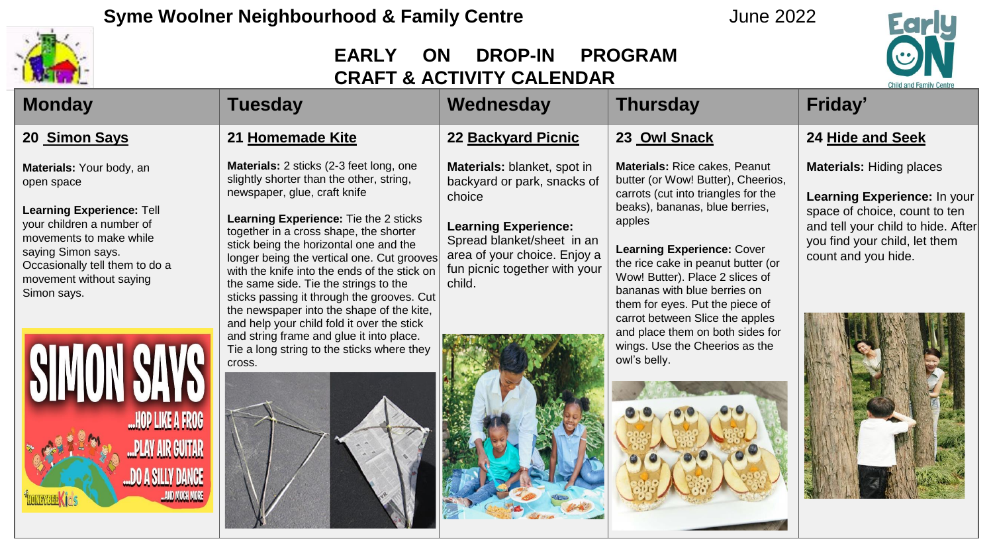



| <b>AND LOW</b>                                                                                                                                                                                                                       |                                                                                                                                                                                                                                                                                                                                                                                                                                                                                                                                  | URAFI & AUTIVILY UALENDAR                                                                                                                                                                                    |                                                                                                                                                                                                                                                                                                                                                                                                                | <b>Child and Family Centre</b>                                                                                                                                                                 |
|--------------------------------------------------------------------------------------------------------------------------------------------------------------------------------------------------------------------------------------|----------------------------------------------------------------------------------------------------------------------------------------------------------------------------------------------------------------------------------------------------------------------------------------------------------------------------------------------------------------------------------------------------------------------------------------------------------------------------------------------------------------------------------|--------------------------------------------------------------------------------------------------------------------------------------------------------------------------------------------------------------|----------------------------------------------------------------------------------------------------------------------------------------------------------------------------------------------------------------------------------------------------------------------------------------------------------------------------------------------------------------------------------------------------------------|------------------------------------------------------------------------------------------------------------------------------------------------------------------------------------------------|
| <b>Monday</b>                                                                                                                                                                                                                        | <b>Tuesday</b>                                                                                                                                                                                                                                                                                                                                                                                                                                                                                                                   | Wednesday                                                                                                                                                                                                    | <b>Thursday</b>                                                                                                                                                                                                                                                                                                                                                                                                | Friday'                                                                                                                                                                                        |
| 20 Simon Says                                                                                                                                                                                                                        | 21 Homemade Kite                                                                                                                                                                                                                                                                                                                                                                                                                                                                                                                 | 22 Backyard Picnic                                                                                                                                                                                           | 23 Owl Snack                                                                                                                                                                                                                                                                                                                                                                                                   | 24 Hide and Seek                                                                                                                                                                               |
| Materials: Your body, an<br>open space<br><b>Learning Experience: Tell</b><br>your children a number of<br>movements to make while<br>saying Simon says.<br>Occasionally tell them to do a<br>movement without saying<br>Simon says. | Materials: 2 sticks (2-3 feet long, one<br>slightly shorter than the other, string,<br>newspaper, glue, craft knife<br>Learning Experience: Tie the 2 sticks<br>together in a cross shape, the shorter<br>stick being the horizontal one and the<br>longer being the vertical one. Cut grooves<br>with the knife into the ends of the stick on<br>the same side. Tie the strings to the<br>sticks passing it through the grooves. Cut<br>the newspaper into the shape of the kite,<br>and help your child fold it over the stick | Materials: blanket, spot in<br>backyard or park, snacks of<br>choice<br><b>Learning Experience:</b><br>Spread blanket/sheet in an<br>area of your choice. Enjoy a<br>fun picnic together with your<br>child. | Materials: Rice cakes, Peanut<br>butter (or Wow! Butter), Cheerios,<br>carrots (cut into triangles for the<br>beaks), bananas, blue berries,<br>apples<br><b>Learning Experience: Cover</b><br>the rice cake in peanut butter (or<br>Wow! Butter). Place 2 slices of<br>bananas with blue berries on<br>them for eyes. Put the piece of<br>carrot between Slice the apples<br>and place them on both sides for | <b>Materials: Hiding places</b><br>Learning Experience: In your<br>space of choice, count to ten<br>and tell your child to hide. After<br>you find your child, let them<br>count and you hide. |
| SIMIN<br><b>HOP LIKE A FROG</b><br>"PLAY AIR GUITAR<br>"DO A SILLY DANCE<br>AND MUCH MORE                                                                                                                                            | and string frame and glue it into place.<br>Tie a long string to the sticks where they<br>cross.                                                                                                                                                                                                                                                                                                                                                                                                                                 |                                                                                                                                                                                                              | wings. Use the Cheerios as the<br>owl's belly.                                                                                                                                                                                                                                                                                                                                                                 |                                                                                                                                                                                                |